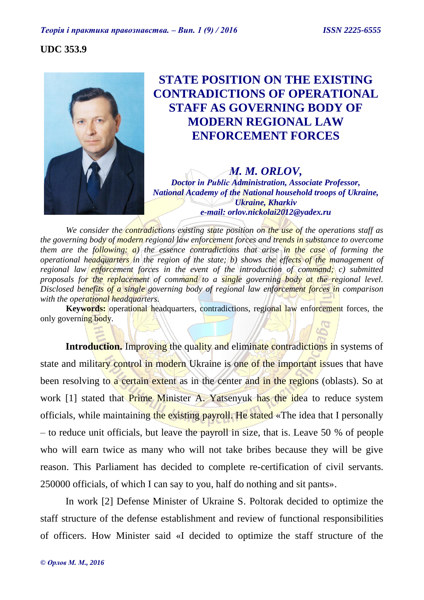# **UDC 353.9**



# **STATE POSITION ON THE EXISTING CONTRADICTIONS OF OPERATIONAL STAFF AS GOVERNING BODY OF MODERN REGIONAL LAW ENFORCEMENT FORCES**

*М. M. ORLOV, Doctor in Рublic Administration, Associate Professor, National Academy оf the National household troops of Ukraine, Ukraine, Kharkiv e-mail: [orlov.nickolai2012@yadex.ru](mailto:orlov.nickolai2012@yadex.ru)*

*We consider the contradictions existing state position on the use of the operations staff as the governing body of modern regional law enforcement forces and trends in substance to overcome them are the following: a) the essence contradictions that arise in the case of forming the operational headquarters in the region of the state; b) shows the effects of the management of regional law enforcement forces in the event of the introduction of command; c) submitted proposals for the replacement of command to a single governing body at the regional level. Disclosed benefits of a single governing body of regional law enforcement forces in comparison with the operational headquarters.* 

**Keywords:** operational headquarters, contradictions, regional law enforcement forces, the only governing body.

**Introduction.** Improving the quality and eliminate contradictions in systems of state and military control in modern Ukraine is one of the important issues that have been resolving to a certain extent as in the center and in the regions (oblasts). So at work [1] stated that **Prime Minister A. Yatsenyuk has the idea to reduce system** officials, while maintaining the existing payroll. He stated «The idea that I personally – to reduce unit officials, but leave the payroll in size, that is. Leave 50 % of people who will earn twice as many who will not take bribes because they will be give reason. This Parliament has decided to complete re-certification of civil servants. 250000 officials, of which I can say to you, half do nothing and sit pants».

In work [2] Defense Minister of Ukraine S. Poltorak decided to optimize the staff structure of the defense establishment and review of functional responsibilities of officers. How Minister said «I decided to optimize the staff structure of the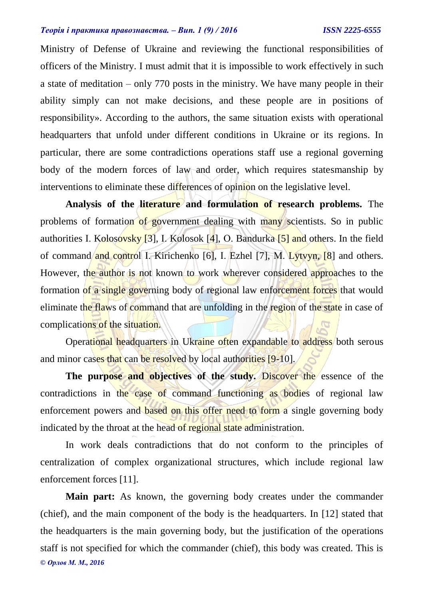Ministry of Defense of Ukraine and reviewing the functional responsibilities of officers of the Ministry. I must admit that it is impossible to work effectively in such a state of meditation – only 770 posts in the ministry. We have many people in their ability simply can not make decisions, and these people are in positions of responsibility». According to the authors, the same situation exists with operational headquarters that unfold under different conditions in Ukraine or its regions. In particular, there are some contradictions operations staff use a regional governing body of the modern forces of law and order, which requires statesmanship by interventions to eliminate these differences of opinion on the legislative level.

**Analysis of the literature and formulation of research problems.** The problems of formation of government dealing with many scientists. So in public authorities I. Kolosovsky [3], I. Kolosok [4], O. Bandurka  $[5]$  and others. In the field of command and control I. Kirichenko [6], I. Ezhel [7], M. Lytvyn, [8] and others. However, the author is not known to work wherever considered approaches to the formation of a single governing body of regional law enforcement forces that would eliminate the flaws of command that are unfolding in the region of the state in case of complications of the situation.

Operational headquarters in Ukraine often expandable to address both serous and minor cases that can be resolved by local authorities [9-10].

The purpose and objectives of the study. Discover the essence of the contradictions in the case of command functioning as bodies of regional law enforcement powers and based on this offer need to form a single governing body indicated by the throat at the head of regional state administration.

In work deals contradictions that do not conform to the principles of centralization of complex organizational structures, which include regional law enforcement forces [11].

*© Орлов М. М., 2016* **Main part:** As known, the governing body creates under the commander (chief), and the main component of the body is the headquarters. In [12] stated that the headquarters is the main governing body, but the justification of the operations staff is not specified for which the commander (chief), this body was created. This is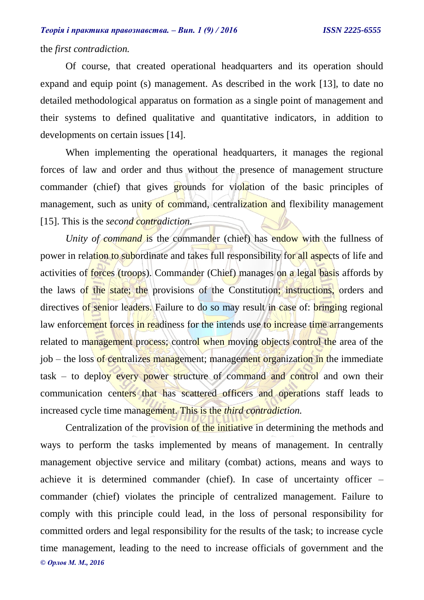# the *first contradiction.*

Of course, that created operational headquarters and its operation should expand and equip point (s) management. As described in the work [13], to date no detailed methodological apparatus on formation as a single point of management and their systems to defined qualitative and quantitative indicators, in addition to developments on certain issues [14].

When implementing the operational headquarters, it manages the regional forces of law and order and thus without the presence of management structure commander (chief) that gives grounds for violation of the basic principles of management, such as unity of command, centralization and flexibility management [15]. This is the *second contradiction.*

*Unity of command* is the commander (chief) has endow with the fullness of power in relation to subordinate and takes full responsibility for all aspects of life and activities of forces (troops). Commander (Chief) manages on a legal basis affords by the laws of the state; the provisions of the Constitution; instructions, orders and directives of senior leaders. Failure to do so may result in case of: bringing regional law enforcement forces in readiness for the intends use to increase time arrangements related to management process; control when moving objects control the area of the job – the loss of centralizes management; management organization in the immediate task – to deploy every power structure of command and control and own their communication centers that has scattered officers and operations staff leads to increased cycle time management. This is the *third contradiction.*

*© Орлов М. М., 2016* Centralization of the provision of the initiative in determining the methods and ways to perform the tasks implemented by means of management. In centrally management objective service and military (combat) actions, means and ways to achieve it is determined commander (chief). In case of uncertainty officer – commander (chief) violates the principle of centralized management. Failure to comply with this principle could lead, in the loss of personal responsibility for committed orders and legal responsibility for the results of the task; to increase cycle time management, leading to the need to increase officials of government and the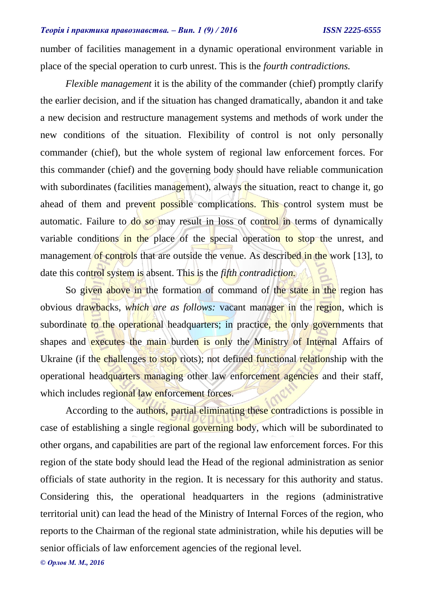number of facilities management in a dynamic operational environment variable in place of the special operation to curb unrest. This is the *fourth contradictions.*

*Flexible management* it is the ability of the commander (chief) promptly clarify the earlier decision, and if the situation has changed dramatically, abandon it and take a new decision and restructure management systems and methods of work under the new conditions of the situation. Flexibility of control is not only personally commander (chief), but the whole system of regional law enforcement forces. For this commander (chief) and the governing body should have reliable communication with subordinates (facilities management), always the situation, react to change it, go ahead of them and prevent possible complications. This control system must be automatic. Failure to do so may result in loss of control in terms of dynamically variable conditions in the place of the special operation to stop the unrest, and management of controls that are outside the venue. As described in the work [13], to date this control system is absent. This is the *fifth contradiction.*

So given above in the formation of command of the state in the region has obvious drawbacks, *which are as follows:* vacant manager in the region, which is subordinate to the operational headquarters; in practice, the only governments that shapes and executes the main burden is only the Ministry of Internal Affairs of Ukraine (if the challenges to stop riots); not defined functional relationship with the operational headquarters managing other law enforcement agencies and their staff, which includes regional law enforcement forces.

According to the authors, partial eliminating these contradictions is possible in case of establishing a single regional governing body, which will be subordinated to other organs, and capabilities are part of the regional law enforcement forces. For this region of the state body should lead the Head of the regional administration as senior officials of state authority in the region. It is necessary for this authority and status. Considering this, the operational headquarters in the regions (administrative territorial unit) can lead the head of the Ministry of Internal Forces of the region, who reports to the Chairman of the regional state administration, while his deputies will be senior officials of law enforcement agencies of the regional level.

*© Орлов М. М., 2016*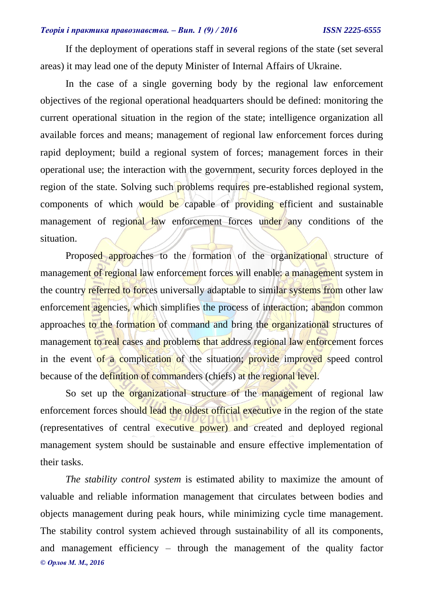If the deployment of operations staff in several regions of the state (set several areas) it may lead one of the deputy Minister of Internal Affairs of Ukraine.

In the case of a single governing body by the regional law enforcement objectives of the regional operational headquarters should be defined: monitoring the current operational situation in the region of the state; intelligence organization all available forces and means; management of regional law enforcement forces during rapid deployment; build a regional system of forces; management forces in their operational use; the interaction with the government, security forces deployed in the region of the state. Solving such problems requires pre-established regional system, components of which would be capable of providing efficient and sustainable management of regional law enforcement forces under any conditions of the situation.

Proposed approaches to the formation of the organizational structure of management of regional law enforcement forces will enable: a management system in the country referred to forces universally adaptable to similar systems from other law enforcement agencies, which simplifies the process of interaction; abandon common approaches to the formation of command and bring the organizational structures of management to real cases and problems that address regional law enforcement forces in the event of a complication of the situation; provide improved speed control because of the definition of commanders (chiefs) at the regional level.

So set up the organizational structure of the management of regional law enforcement forces should lead the oldest official executive in the region of the state (representatives of central executive power) and created and deployed regional management system should be sustainable and ensure effective implementation of their tasks.

*© Орлов М. М., 2016 The stability control system* is estimated ability to maximize the amount of valuable and reliable information management that circulates between bodies and objects management during peak hours, while minimizing cycle time management. The stability control system achieved through sustainability of all its components, and management efficiency – through the management of the quality factor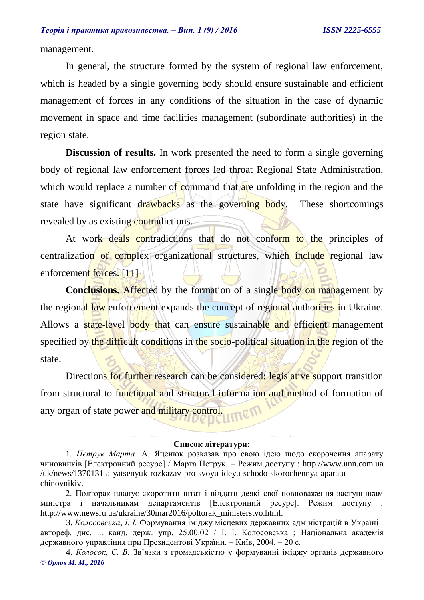management.

In general, the structure formed by the system of regional law enforcement, which is headed by a single governing body should ensure sustainable and efficient management of forces in any conditions of the situation in the case of dynamic movement in space and time facilities management (subordinate authorities) in the region state.

**Discussion of results.** In work presented the need to form a single governing body of regional law enforcement forces led throat Regional State Administration, which would replace a number of command that are unfolding in the region and the state have significant drawbacks as the governing body. These shortcomings revealed by as existing contradictions.

At work deals contradictions that do not conform to the principles of centralization of complex organizational structures, which include regional law enforcement forces. [11]

**Conclusions.** Affected by the formation of a single body on management by the regional law enforcement expands the concept of regional authorities in Ukraine. Allows a state-level body that can ensure sustainable and efficient management specified by the difficult conditions in the socio-political situation in the region of the state.

Directions for further research can be considered: legislative support transition from structural to functional and structural information and method of formation of any organ of state power and military control.

#### **Список літератури:**

1. *Петрук Марта*. А. Яценюк розказав про свою ідею щодо скорочення апарату чиновників [Електронний ресурс] / Марта Петрук. – Режим доступу : http://www.unn.com.ua /uk/news/1370131-a-yatsenyuk-rozkazav-pro-svoyu-ideyu-schodo-skorochennya-aparatuchinovnikiv.

2. Полторак планує скоротити штат і віддати деякі свої повноваження заступникам міністра і начальникам департаментів [Електронний ресурс]. Режим доступу [http://www.newsru.ua/ukraine/30mar2016/poltorak\\_ministerstvo.html.](http://www.newsru.ua/ukraine/30mar2016/poltorak_ministerstvo.html)

3. *Колосовська, І. І.* Формування іміджу місцевих державних адміністрацій в Україні : автореф. дис. ... канд. держ. упр. 25.00.02 / І. І. Колосовська ; Національна академія державного управління при Президентові України. – Київ, 2004. – 20 с.

*© Орлов М. М., 2016* 4. *Колосок, С. В.* Зв'язки з громадськістю у формуванні іміджу органів державного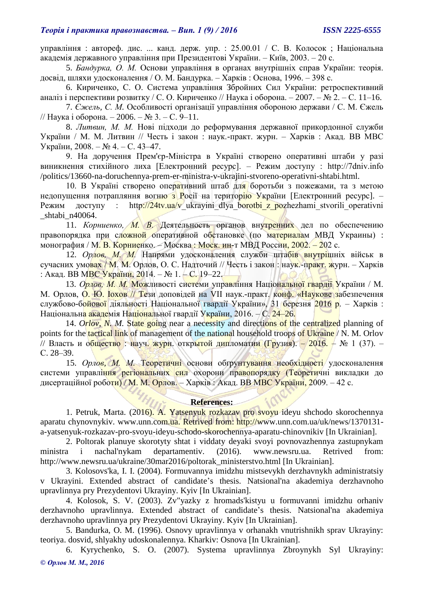управління : автореф. дис. ... канд. держ. упр. : 25.00.01 / С. В. Колосок ; Національна академія державного управління при Президентові України. – Київ, 2003. – 20 с.

5. *Бандурка, О. М.* Основи управління в органах внутрішніх справ України: теорія. досвід, шляхи удосконалення / О. М. Бандурка. – Харків : Основа, 1996. – 398 с.

6. Кириченко, С. О. Система управління Збройних Сил України: ретроспективний аналіз і перспективи розвитку / С. О. Кириченко // Наука і оборона. – 2007. – № 2. – С. 11–16.

7. *Єжель, С. М.* Особливості організації управління обороною держави / С. М. Єжель // Наука і оборона. – 2006. – № 3. – С. 9–11.

8. *Литвин, М. М.* Нові підходи до реформування державної прикордонної служби України / М. М. Литвин // Честь і закон : наук.-практ. журн. – Харків : Акад. ВВ МВС України, 2008. – № 4. – С. 43–47.

9. На доручення Прем'єр-Міністра в Україні створено оперативні штаби у разі виникнення стихійного лиха [Електронний ресурс]. – Режим доступу : http://7dniv.info /politics/13660-na-doruchennya-prem-er-ministra-v-ukrajini-stvoreno-operativni-shtabi.html.

10. В Україні створено оперативний штаб для боротьби з пожежами, та з метою недопущення потрапляння вогню з Росії на територію України [Електронний ресурс]. -Режим доступу : http://24tv.ua/v ukrayini dlya borotbi z pozhezhami stvorili operativni \_shtabi\_n40064.

11. *Корниенко, М. В.* Деятельность органов внутренних дел по обеспечению правопорядка при сложной оперативной обстановке (по материалам МВД Украины) : монография / М. В. Корниенко. – Москва: Моск. ин-т МВД России, 2002. – 202 с.

12. *Орлов, М. М.* Напрями удосконалення служби штабів внутрішніх військ в сучасних умовах / М. М. Орлов, О. С. Надточий // Честь і закон : наук.-практ. журн. – Харків : Акад. ВВ МВС України, 2014. – № 1. – С. 19–22.

13. *Орлов, М. М.* Можливості системи управління Національної гвардії України / М. М. Орлов, О. Ю. **Гохов // Тези доповідей на VII наук.-практ.** конф. «Наукове забезпечення службово-б<mark>ойової</mark> діяльності Національної гвардії України», 31 березня 2016 р. – Харків: Національн<mark>а акаде</mark>мія Національної гвардії України, 2016. – С. 24–26.

14. *Orlov, N. M.* State going near a necessity and directions of the centralized planning of points for the **tactical link** of management of the national household troops of Ukraine / N. M. Orlov // Власть и общество : науч. журн. открытой дипломатии (Грузия). – 2016. – № 1 (37). – С. 28–39.

15. *Орлов, М. М.* Теоретичні основи обґрунтування необхідності удосконалення системи управління регіональних сил охорони правопорядку (Теоретичні викладки до дисертаційної роботи) / М. М. Орлов. – Харків : Акад. ВВ МВС України, 2009. – 42 с.

## **References:**

1. Petruk, Marta. (2016). A. Yatsenyuk rozkazav pro svoyu ideyu shchodo skorochennya aparatu chynovnykiv. www.unn.com.ua. Retrived from: http://www.unn.com.ua/uk/news/1370131a-yatsenyuk-rozkazav-pro-svoyu-ideyu-schodo-skorochennya-aparatu-chinovnikiv [In Ukrainian].

2. Poltorak planuye skorotyty shtat i viddaty deyaki svoyi povnovazhennya zastupnykam ministra i nachal'nykam departamentiv. (2016). www.newsru.ua. Retrived from: [http://www.newsru.ua/ukraine/30mar2016/poltorak\\_ministerstvo.html](http://www.newsru.ua/ukraine/30mar2016/poltorak_ministerstvo.html) [In Ukrainian].

3. Kolosovs'ka, I. I. (2004). Formuvannya imidzhu mistsevykh derzhavnykh administratsiy v Ukrayini. Extended abstract of candidate's thesis. Natsional'na akademiya derzhavnoho upravlinnya pry Prezydentovi Ukrayiny. Kyiv [In Ukrainian].

4. Kolosok, S. V. (2003). Zv"yazky z hromads'kistyu u formuvanni imidzhu orhaniv derzhavnoho upravlinnya. Extended abstract of candidate's thesis. Natsional'na akademiya derzhavnoho upravlinnya pry Prezydentovi Ukrayiny. Kyiv [In Ukrainian].

5. Bandurka, O. M. (1996). Osnovy upravlinnya v orhanakh vnutrishnikh sprav Ukrayiny: teoriya. dosvid, shlyakhy udoskonalennya. Kharkiv: Osnova [In Ukrainian].

*© Орлов М. М., 2016* 6. Kyrychenko, S. O. (2007). Systema upravlinnya Zbroynykh Syl Ukrayiny: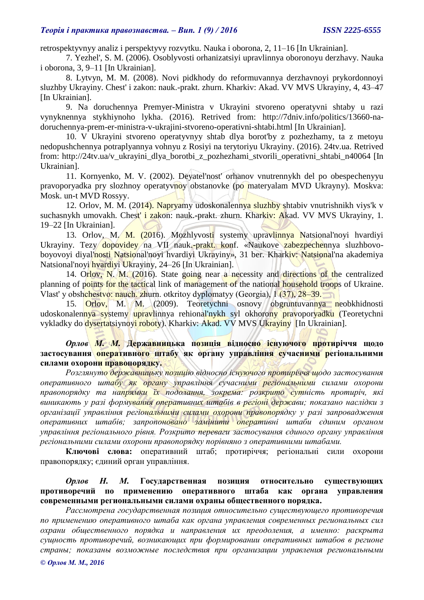retrospektyvnyy analiz i perspektyvy rozvytku. Nauka i oborona, 2, 11–16 [In Ukrainian].

7. Yezhel', S. M. (2006). Osoblyvosti orhanizatsiyi upravlinnya oboronoyu derzhavy. Nauka i oborona, 3, 9–11 [In Ukrainian].

8. Lytvyn, M. M. (2008). Novi pidkhody do reformuvannya derzhavnoyi prykordonnoyi sluzhby Ukrayiny. Chest' i zakon: nauk.-prakt. zhurn. Kharkiv: Akad. VV MVS Ukrayiny, 4, 43–47 [In Ukrainian].

9. Na doruchennya Premyer-Ministra v Ukrayini stvoreno operatyvni shtaby u razi vynyknennya stykhiynoho lykha. (2016). Retrived from: [http://7dniv.info/politics/13660-na](http://7dniv.info/politics/13660-na-doruchennya-prem-er-ministra-v-ukrajini-stvoreno-operativni-shtabi.html)[doruchennya-prem-er-ministra-v-ukrajini-stvoreno-operativni-shtabi.html](http://7dniv.info/politics/13660-na-doruchennya-prem-er-ministra-v-ukrajini-stvoreno-operativni-shtabi.html) [In Ukrainian].

10. V Ukrayini stvoreno operatyvnyy shtab dlya borot'by z pozhezhamy, ta z metoyu nedopushchennya potraplyannya vohnyu z Rosiyi na terytoriyu Ukrayiny. (2016). 24tv.ua. Retrived from: [http://24tv.ua/v\\_ukrayini\\_dlya\\_borotbi\\_z\\_pozhezhami\\_stvorili\\_operativni\\_shtabi\\_n40064](http://24tv.ua/v_ukrayini_dlya_borotbi_z_pozhezhami_stvorili_operativni_shtabi_n40064) [In Ukrainian].

11. Kornyenko, M. V. (2002). Deyatel'nost' orhanov vnutrennykh del po obespechenyyu pravoporyadka pry slozhnoy operatyvnoy obstanovke (po materyalam MVD Ukrayny). Moskva: Mosk. un-t MVD Rossyy.

12. Orlov, M. M. (2014). Napryamy udoskonalennya sluzhby shtabiv vnutrishnikh viys'k v suchasnykh umovakh. Chest' i zakon: nauk.-prakt. zhurn. Kharkiv: Akad. VV MVS Ukrayiny, 1. 19–22 [In Ukrainian].

13. Orlov, M. M. (2016). Mozhlyvosti systemy upravlinnya Natsional'noyi hvardiyi Ukrayiny. Tezy dopovidey na VII nauk.-prakt. konf. «Naukove zabezpechennya sluzhbovoboyovoyi diyal'nosti Natsional'noyi hvardiyi Ukrayiny», 31 ber. Kharkiv: Natsional'na akademiya Natsional'noyi hvardiyi Ukrayiny, 24–26 [In Ukrainian].

14. Orlov, N. M. (2016). State going near a necessity and directions of the centralized planning of points for the tactical link of management of the national household troops of Ukraine. Vlast' y obshchestvo: nauch. zhurn. otkritoy dyplomatyy (Georgia), 1 (37), 28–39.

15. Orlov, M. (2009). Teoretychni osnovy obgruntuvannya neobkhidnosti udoskonalennya systemy upravlinnya rehional'nykh syl okhorony pravoporyadku (Teoretychni vykladky do dysertatsiynoyi roboty). Kharkiv: Akad. VV MVS Ukrayiny [In Ukrainian].

*Орлов М. М.* **Державницька позиція відносно існуючого протиріччя щодо застосування оперативного штабу як органу управління сучасними регіональними силами охорони правопорядку.**

*Розглянуто державницьку позицію відносно існуючого протиріччя щодо застосування оперативного штабу як органу управління сучасними регіональними силами охорони правопорядку та напрямки їх подолання, зокрема: розкрито сутність протиріч, які виникають у разі формування оперативних штабів в регіоні держави; показано наслідки з організації управління регіональними силами охорони правопорядку у разі запровадження оперативних штабів; запропоновано замінити оперативні штаби єдиним органом управління регіонального рівня. Розкрито переваги застосування єдиного органу управління регіональними силами охорони правопорядку порівняно з оперативними штабами.*

**Ключові слова:** оперативний штаб; протиріччя; регіональні сили охорони правопорядку; єдиний орган управління.

# *Орлов Н. М.* **Государственная позиция относительно существующих противоречий по применению оперативного штаба как органа управления современными региональными силами охраны общественного порядка.**

*Рассмотрена государственная позиция относительно существующего противоречия по применению оперативного штаба как органа управления современных региональных сил охрани общественного порядка и направления их преодоления, а именно: раскрыта сущность противоречий, возникающих при формировании оперативных штабов в регионе страны; показаны возможные последствия при организации управления региональными*